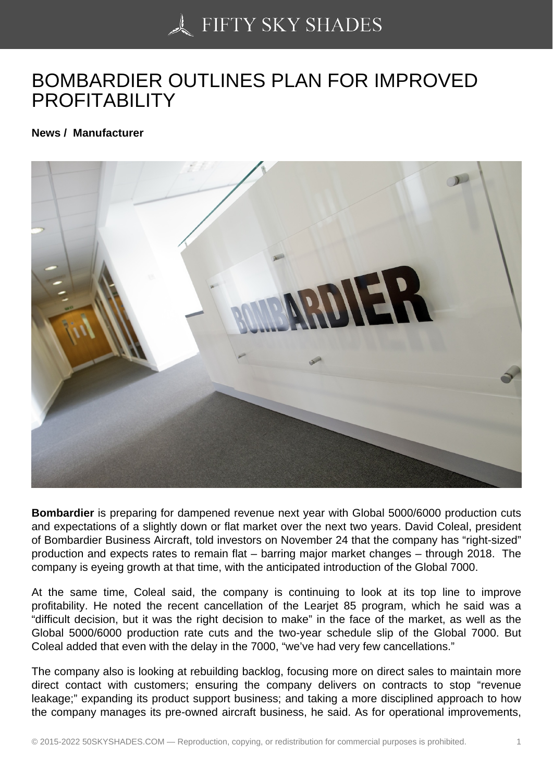## [BOMBARDIER OUTLIN](https://50skyshades.com)ES PLAN FOR IMPROVED **PROFITABILITY**

News / Manufacturer

Bombardier is preparing for dampened revenue next year with Global 5000/6000 production cuts and expectations of a slightly down or flat market over the next two years. David Coleal, president of Bombardier Business Aircraft, told investors on November 24 that the company has "right-sized" production and expects rates to remain flat – barring major market changes – through 2018. The company is eyeing growth at that time, with the anticipated introduction of the Global 7000.

At the same time, Coleal said, the company is continuing to look at its top line to improve profitability. He noted the recent cancellation of the Learjet 85 program, which he said was a "difficult decision, but it was the right decision to make" in the face of the market, as well as the Global 5000/6000 production rate cuts and the two-year schedule slip of the Global 7000. But Coleal added that even with the delay in the 7000, "we've had very few cancellations."

The company also is looking at rebuilding backlog, focusing more on direct sales to maintain more direct contact with customers; ensuring the company delivers on contracts to stop "revenue leakage;" expanding its product support business; and taking a more disciplined approach to how the company manages its pre-owned aircraft business, he said. As for operational improvements,